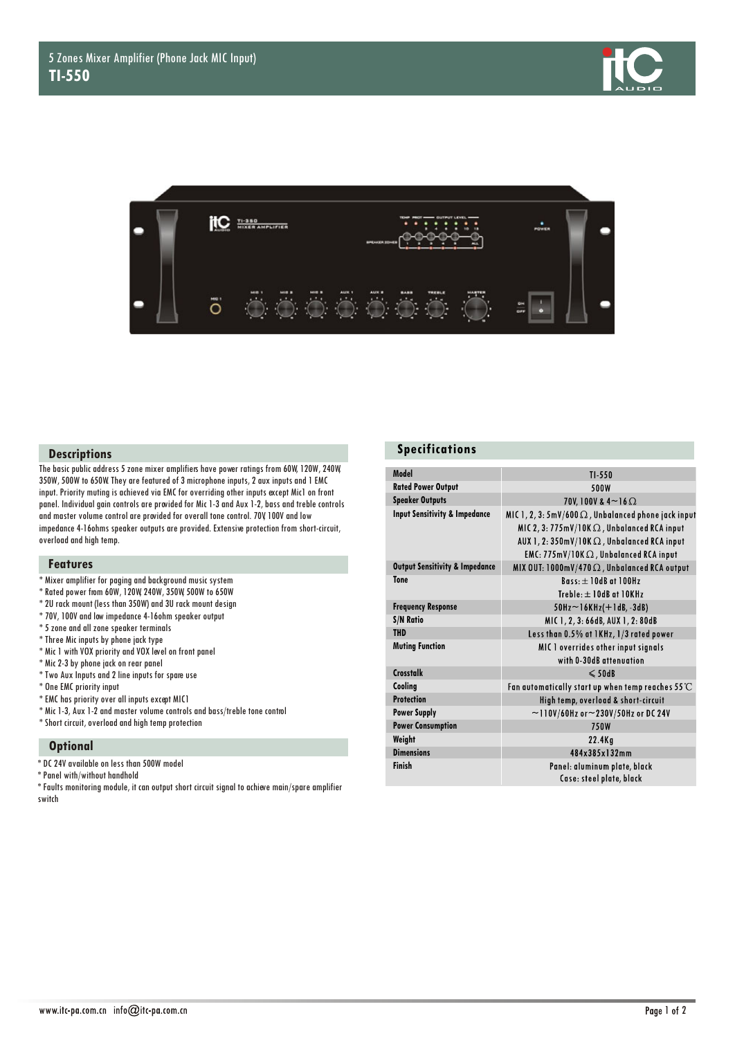



## **Descriptions**

The basic public address 5 zone mixer amplifiers have power ratings from 60W, 120W, 240W, 350W, 500W to 650W. They are featured of 3 microphone inputs, 2 aux inputs and 1 EMC input. Priority muting is achieved via EMC for overriding other inputs except Mic1 on front panel. Individual gain controls are provided for Mic 1-3 and Aux 1-2, bass and treble controls and master volume control are provided for overall tone control. 70V, 100V and low impedance 4-16ohms speaker outputs are provided. Extensive protection from short-circuit, overload and high temp.

### **Features**

- \* Mixer amplifier for paging and background music system
- \* Rated power from 60W, 120W, 240W, 350W, 500W to 650W
- \* 2U rack mount (less than 350W) and 3U rack mount design
- \* 70V, 100V and low impedance 4-16ohm speaker output
- \* 5 zone and all zone speaker terminals
- \* Three Mic inputs by phone jack type
- \* Mic 1 with VOX priority and VOX level on front panel
- \* Mic 2-3 by phone jack on rear panel
- \* Two Aux Inputs and 2 line inputs for spare use
- \* One EMC priority input
- \* EMC has priority over all inputs except MIC1
- \* Mic 1-3, Aux 1-2 and master volume controls and bass/treble tone control
- \* Short circuit, overload and high temp protection

#### **Optional**

- \* DC 24V available on less than 500W model
- \* Panel with/without handhold
- $^*$  Faults monitoring module, it can output short circuit signal to achieve main/spare amplifier switch

#### **Specifications**

| Model                                     | $TI-550$                                                                                                              |
|-------------------------------------------|-----------------------------------------------------------------------------------------------------------------------|
| <b>Rated Power Output</b>                 | 500W                                                                                                                  |
| <b>Speaker Outputs</b>                    | 70V, 100V & 4~16 $\Omega$                                                                                             |
| <b>Input Sensitivity &amp; Impedance</b>  | MIC 1, 2, 3: 5mV/600 $\Omega$ , Unbalanced phone jack input<br>MIC 2, 3: $775$ mV/10K $\Omega$ , Unbalanced RCA input |
|                                           | AUX 1, 2: $350$ mV/10K $\Omega$ , Unbalanced RCA input                                                                |
|                                           | EMC: $775$ mV/10K $\Omega$ , Unbalanced RCA input                                                                     |
| <b>Output Sensitivity &amp; Impedance</b> | MIX OUT: 1000mV/470 $\Omega$ , Unbalanced RCA output                                                                  |
| <b>Tone</b>                               | $R$ ass: $+$ 10dR at 100Hz                                                                                            |
|                                           | Treble: $\pm$ 10dB at 10KHz                                                                                           |
| <b>Frequency Response</b>                 | $50$ Hz $\sim$ 16KHz( $+$ 1dB, -3dB)                                                                                  |
| <b>S/N Ratio</b>                          | MIC 1, 2, 3: 66dB, AUX 1, 2: 80dB                                                                                     |
| <b>THD</b>                                | Less than 0.5% at 1KHz, 1/3 rated power                                                                               |
| <b>Muting Function</b>                    | MIC 1 overrides other input signals                                                                                   |
|                                           | with 0-30dB attenuation                                                                                               |
| <b>Crosstalk</b>                          | $\leqslant$ 50dB                                                                                                      |
| Cooling                                   | Fan avtomatically start up when temp reaches 55 $\mathrm{\mathbb{C}}$                                                 |
| <b>Protection</b>                         | High temp, overload & short-circuit                                                                                   |
| <b>Power Supply</b>                       | $\sim$ 110V/60Hz or $\sim$ 230V/50Hz or DC 24V                                                                        |
| <b>Power Consumption</b>                  | 750W                                                                                                                  |
| Weight                                    | $22.4$ Kg                                                                                                             |
| <b>Dimensions</b>                         | 484x385x132mm                                                                                                         |
| Finish                                    | Panel: aluminum plate, black                                                                                          |
|                                           | Case: steel plate, black                                                                                              |